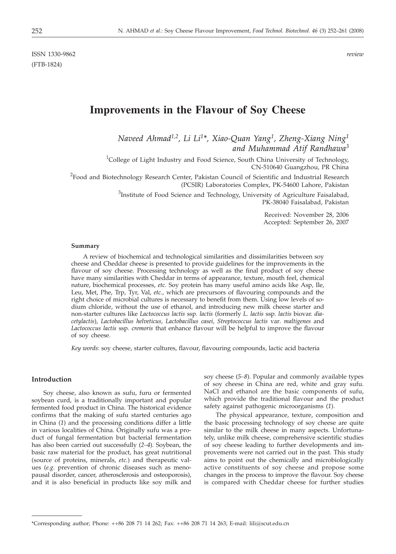ISSN 1330-9862 *review* (FTB-1824)

# **Improvements in the Flavour of Soy Cheese**

*Naveed Ahmad1,2, Li Li1\*, Xiao-Quan Yang1, Zheng-Xiang Ning1 and Muhammad Atif Randhawa3*

<sup>1</sup>College of Light Industry and Food Science, South China University of Technology, CN-510640 Guangzhou, PR China

<sup>2</sup>Food and Biotechnology Research Center, Pakistan Council of Scientific and Industrial Research (PCSIR) Laboratories Complex, PK-54600 Lahore, Pakistan

> ${}^{3}$ Institute of Food Science and Technology, University of Agriculture Faisalabad, PK-38040 Faisalabad, Pakistan

> > Received: November 28, 2006 Accepted: September 26, 2007

#### **Summary**

A review of biochemical and technological similarities and dissimilarities between soy cheese and Cheddar cheese is presented to provide guidelines for the improvements in the flavour of soy cheese. Processing technology as well as the final product of soy cheese have many similarities with Cheddar in terms of appearance, texture, mouth feel, chemical nature, biochemical processes, *etc.* Soy protein has many useful amino acids like Asp, Ile, Leu, Met, Phe, Trp, Tyr, Val, *etc.,* which are precursors of flavouring compounds and the right choice of microbial cultures is necessary to benefit from them. Using low levels of sodium chloride, without the use of ethanol, and introducing new milk cheese starter and non-starter cultures like *Lactococcus lactis* ssp*. lactis* (formerly *L. lactis* ssp*. lactis* biovar. *diacetylactis*), *Lactobacillus helveticus, Lactobacillus casei, Streptococcus lactis* var*. maltigenes* and *Lactococcus lactis* ssp*. cremoris* that enhance flavour will be helpful to improve the flavour of soy cheese.

*Key words*: soy cheese, starter cultures, flavour, flavouring compounds, lactic acid bacteria

#### **Introduction**

Soy cheese, also known as sufu, furu or fermented soybean curd, is a traditionally important and popular fermented food product in China. The historical evidence confirms that the making of sufu started centuries ago in China (*1*) and the processing conditions differ a little in various localities of China. Originally sufu was a product of fungal fermentation but bacterial fermentation has also been carried out successfully (*2–4*). Soybean, the basic raw material for the product, has great nutritional (source of proteins, minerals, *etc.*) and therapeutic values (*e.g.* prevention of chronic diseases such as menopausal disorder, cancer, atherosclerosis and osteoporosis), and it is also beneficial in products like soy milk and soy cheese (*5–8*). Popular and commonly available types of soy cheese in China are red, white and gray sufu. NaCl and ethanol are the basic components of sufu, which provide the traditional flavour and the product safety against pathogenic microorganisms (*1*).

The physical appearance, texture, composition and the basic processing technology of soy cheese are quite similar to the milk cheese in many aspects. Unfortunately, unlike milk cheese, comprehensive scientific studies of soy cheese leading to further developments and improvements were not carried out in the past. This study aims to point out the chemically and microbiologically active constituents of soy cheese and propose some changes in the process to improve the flavour. Soy cheese is compared with Cheddar cheese for further studies

<sup>\*</sup>Corresponding author; Phone: ++86 208 71 14 262; Fax: ++86 208 71 14 263; E-mail: lili@scut.edu.cn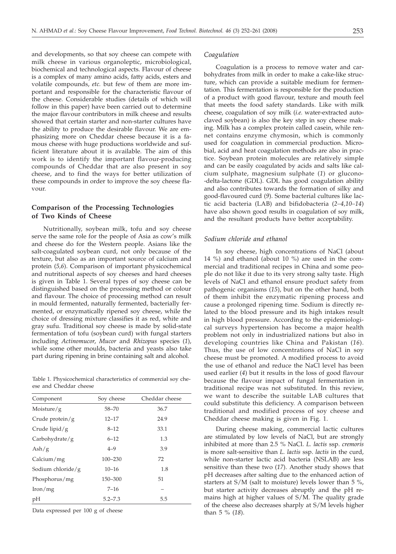and developments, so that soy cheese can compete with milk cheese in various organoleptic, microbiological, biochemical and technological aspects. Flavour of cheese is a complex of many amino acids, fatty acids, esters and volatile compounds, *etc.* but few of them are more important and responsible for the characteristic flavour of the cheese. Considerable studies (details of which will follow in this paper) have been carried out to determine the major flavour contributors in milk cheese and results showed that certain starter and non-starter cultures have the ability to produce the desirable flavour. We are emphasizing more on Cheddar cheese because it is a famous cheese with huge productions worldwide and sufficient literature about it is available. The aim of this work is to identify the important flavour-producing compounds of Cheddar that are also present in soy cheese, and to find the ways for better utilization of these compounds in order to improve the soy cheese flavour.

## **Comparison of the Processing Technologies of Two Kinds of Cheese**

Nutritionally, soybean milk, tofu and soy cheese serve the same role for the people of Asia as cow's milk and cheese do for the Western people. Asians like the salt-coagulated soybean curd, not only because of the texture, but also as an important source of calcium and protein (*5,6*). Comparison of important physicochemical and nutritional aspects of soy cheeses and hard cheeses is given in Table 1. Several types of soy cheese can be distinguished based on the processing method or colour and flavour. The choice of processing method can result in mould fermented, naturally fermented, bacterially fermented, or enzymatically ripened soy cheese, while the choice of dressing mixture classifies it as red, white and gray sufu. Traditional soy cheese is made by solid-state fermentation of tofu (soybean curd) with fungal starters including *Actinomucor*, *Mucor* and *Rhizopus* species (*1*), while some other moulds, bacteria and yeasts also take part during ripening in brine containing salt and alcohol.

Table 1. Physicochemical characteristics of commercial soy cheese and Cheddar cheese

| Component            | Soy cheese  | Cheddar cheese |  |
|----------------------|-------------|----------------|--|
| Moisture/ $g$        | $58 - 70$   | 36.7           |  |
| Crude protein/ $g$   | $12 - 17$   | 24.9           |  |
| Crude lipid/g        | $8 - 12$    | 33.1           |  |
| Carbohydrate/g       | $6 - 12$    | 1.3            |  |
| $\mathrm{Ash/g}$     | $4 - 9$     | 3.9            |  |
| Calcium/mg           | $100 - 230$ | 72             |  |
| Sodium chloride/ $g$ | $10 - 16$   | 1.8            |  |
| Phosphorus/mg        | 150-300     | 51             |  |
| $\rm Iron/mg$        | $7 - 16$    |                |  |
| pH                   | $5.2 - 7.3$ | 5.5            |  |

Data expressed per 100 g of cheese

#### *Coagulation*

Coagulation is a process to remove water and carbohydrates from milk in order to make a cake-like structure, which can provide a suitable medium for fermentation. This fermentation is responsible for the production of a product with good flavour, texture and mouth feel that meets the food safety standards. Like with milk cheese, coagulation of soy milk (*i.e.* water-extracted autoclaved soybean) is also the key step in soy cheese making. Milk has a complex protein called casein, while rennet contains enzyme chymosin, which is commonly used for coagulation in commercial production. Microbial, acid and heat coagulation methods are also in practice. Soybean protein molecules are relatively simple and can be easily coagulated by acids and salts like calcium sulphate, magnesium sulphate (*1*) or glucono- -delta-lactone (GDL). GDL has good coagulation ability and also contributes towards the formation of silky and good-flavoured curd (*9*). Some bacterial cultures like lactic acid bacteria (LAB) and bifidobacteria (*2–4,10–14*) have also shown good results in coagulation of soy milk, and the resultant products have better acceptability.

#### *Sodium chloride and ethanol*

In soy cheese, high concentrations of NaCl (about 14 %) and ethanol (about 10 %) are used in the commercial and traditional recipes in China and some people do not like it due to its very strong salty taste. High levels of NaCl and ethanol ensure product safety from pathogenic organisms (*15*), but on the other hand, both of them inhibit the enzymatic ripening process and cause a prolonged ripening time. Sodium is directly related to the blood pressure and its high intakes result in high blood pressure. According to the epidemiological surveys hypertension has become a major health problem not only in industrialized nations but also in developing countries like China and Pakistan (*16*). Thus, the use of low concentrations of NaCl in soy cheese must be promoted. A modified process to avoid the use of ethanol and reduce the NaCl level has been used earlier (*4*) but it results in the loss of good flavour because the flavour impact of fungal fermentation in traditional recipe was not substituted. In this review, we want to describe the suitable LAB cultures that could substitute this deficiency. A comparison between traditional and modified process of soy cheese and Cheddar cheese making is given in Fig. 1.

During cheese making, commercial lactic cultures are stimulated by low levels of NaCl, but are strongly inhibited at more than 2.5 % NaCl. *L. lactis* ssp. *cremoris* is more salt-sensitive than *L. lactis* ssp. *lactis* in the curd, while non-starter lactic acid bacteria (NSLAB) are less sensitive than these two (*17*). Another study shows that pH decreases after salting due to the enhanced action of starters at S/M (salt to moisture) levels lower than 5 %, but starter activity decreases abruptly and the pH remains high at higher values of S/M. The quality grade of the cheese also decreases sharply at S/M levels higher than 5 % (*18*).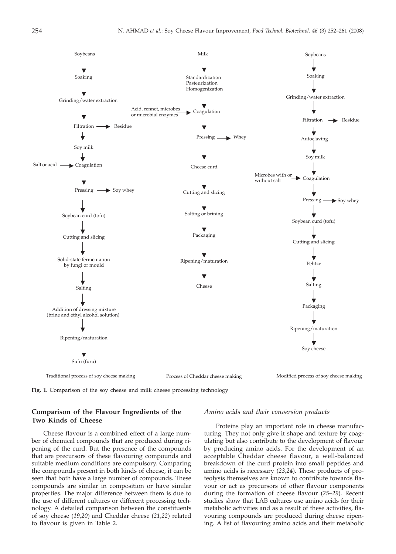

**Fig. 1.** Comparison of the soy cheese and milk cheese processing technology

# **Comparison of the Flavour Ingredients of the Two Kinds of Cheese**

Cheese flavour is a combined effect of a large number of chemical compounds that are produced during ripening of the curd. But the presence of the compounds that are precursors of these flavouring compounds and suitable medium conditions are compulsory. Comparing the compounds present in both kinds of cheese, it can be seen that both have a large number of compounds. These compounds are similar in composition or have similar properties. The major difference between them is due to the use of different cultures or different processing technology. A detailed comparison between the constituents of soy cheese (*19,20*) and Cheddar cheese (*21,22*) related to flavour is given in Table 2.

#### *Amino acids and their conversion products*

Proteins play an important role in cheese manufacturing. They not only give it shape and texture by coagulating but also contribute to the development of flavour by producing amino acids. For the development of an acceptable Cheddar cheese flavour, a well-balanced breakdown of the curd protein into small peptides and amino acids is necessary (*23,24*). These products of proteolysis themselves are known to contribute towards flavour or act as precursors of other flavour components during the formation of cheese flavour (*25–29*). Recent studies show that LAB cultures use amino acids for their metabolic activities and as a result of these activities, flavouring compounds are produced during cheese ripening. A list of flavouring amino acids and their metabolic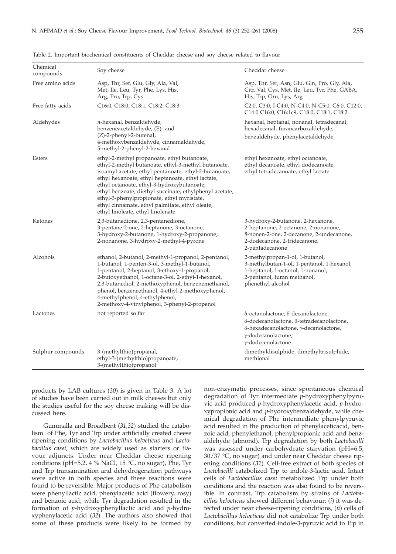| Chemical<br>compounds                                                                                                                                                                                                                                                                                                                                                                                              | Soy cheese                                                                                                                                                                                                                                                                                                                                                                                                                                                      | Cheddar cheese                                                                                                                                                           |  |
|--------------------------------------------------------------------------------------------------------------------------------------------------------------------------------------------------------------------------------------------------------------------------------------------------------------------------------------------------------------------------------------------------------------------|-----------------------------------------------------------------------------------------------------------------------------------------------------------------------------------------------------------------------------------------------------------------------------------------------------------------------------------------------------------------------------------------------------------------------------------------------------------------|--------------------------------------------------------------------------------------------------------------------------------------------------------------------------|--|
| Free amino acids                                                                                                                                                                                                                                                                                                                                                                                                   | Asp, Thr, Ser, Glu, Gly, Ala, Val,<br>Met, Ile, Leu, Tyr, Phe, Lys, His,<br>Arg, Pro, Trp, Cys                                                                                                                                                                                                                                                                                                                                                                  | Asp, Thr, Ser, Asn, Glu, Gln, Pro, Gly, Ala,<br>Citr, Val, Cys, Met, Ile, Leu, Tyr, Phe, GABA,<br>His, Trp, Orn, Lys, Arg                                                |  |
| Free fatty acids                                                                                                                                                                                                                                                                                                                                                                                                   | C16:0, C18:0, C18:1, C18:2, C18:3                                                                                                                                                                                                                                                                                                                                                                                                                               | C2:0, C3:0, I-C4:0, N-C4:0, N-C5:0, C6:0, C12:0,<br>C14:0 C16:0, C16:1c9, C18:0, C18:1, C18:2                                                                            |  |
| Aldehydes                                                                                                                                                                                                                                                                                                                                                                                                          | $n$ -hexanal, benzaldehyde,<br>benzeneacetaldehyde, (E)- and<br>(Z)-2-phenyl-2-butenal,<br>4-methoxybenzaldehyde, cinnamaldehyde,<br>5-methyl-2-phenyl-2-hexanal                                                                                                                                                                                                                                                                                                | hexanal, heptanal, nonanal, tetradecanal,<br>hexadecanal, furancarboxaldehyde,<br>benzaldehyde, phenylacetaldehyde                                                       |  |
| Esters                                                                                                                                                                                                                                                                                                                                                                                                             | ethyl-2-methyl propanoate, ethyl butanoate,<br>ethyl-2-methyl butanoate, ethyl-3-methyl butanoate,<br>isoamyl acetate, ethyl pentanoate, ethyl-2-butanoate,<br>ethyl hexanoate, ethyl heptanoate, ethyl lactate,<br>ethyl octanoate, ethyl-3-hydroxybutanoate,<br>ethyl benzoate, diethyl succinate, ethylphenyl acetate,<br>ethyl-3-phenylpropionate, ethyl myristate,<br>ethyl cinnamate, ethyl palmitate, ethyl oleate,<br>ethyl linoleate, ethyl linolenate | ethyl hexanoate, ethyl octanoate,<br>ethyl decanoate, ethyl dodecanoate,<br>ethyl tetradecanoate, ethyl lactate                                                          |  |
| Ketones                                                                                                                                                                                                                                                                                                                                                                                                            | 2,3-butanedione, 2,3-pentanedione,<br>3-pentane-2-one, 2-heptanone, 3-octanone,<br>3-hydroxy-2-butanone, 1-hydroxy-2-propanone,<br>2-nonanone, 3-hydroxy-2-methyl-4-pyrone                                                                                                                                                                                                                                                                                      | 3-hydroxy-2-butanone, 2-hexanone,<br>2-heptanone, 2-octanone, 2-nonanone,<br>8-nonen-2-one, 2-decanone, 2-undecanone,<br>2-dodecanone, 2-tridecanone,<br>2-pentadecanone |  |
| Alcohols<br>ethanol, 2-butanol, 2-methyl-1-propanol, 2-pentanol,<br>1-butanol, 1-penten-3-ol, 3-methyl-1-butanol,<br>1-pentanol, 2-heptanol, 3-ethoxy-1-propanol,<br>2-butoxyethanol, 1-octane-3-ol, 2-ethyl-1-hexanol,<br>2,3-butanediol, 2-methoxyphenol, benzenemethanol,<br>phenol, benzeneethanol, 4-ethyl-2-methoxyphenol,<br>4-methylphenol, 4-ethylphenol,<br>2-methoxy-4-vinylphenol, 3-phenyl-2-propenol |                                                                                                                                                                                                                                                                                                                                                                                                                                                                 | 2-methylpropan-1-ol, 1-butanol,<br>3-methylbutan-1-ol, 1-pentanol, 1-hexanol,<br>1-heptanol, 1-octanol, 1-nonanol,<br>2-pentanol, furan methanol,<br>phenethyl alcohol   |  |
| Lactones                                                                                                                                                                                                                                                                                                                                                                                                           | not reported so far                                                                                                                                                                                                                                                                                                                                                                                                                                             | δ-octanolactone, δ-decanolactone,<br>δ-dodecanolactone, δ-tetradecanolactone,<br>δ-hexadecanolactone, γ-decanolactone,<br>γ-dodecanolactone,<br>γ-dodecenolactone        |  |
| Sulphur compounds                                                                                                                                                                                                                                                                                                                                                                                                  | 3-(methylthio)propanal,<br>ethyl-3-(methylthio)propanoate,<br>3-(methylthio)propanol                                                                                                                                                                                                                                                                                                                                                                            | dimethyldisulphide, dimethyltrisulphide,<br>methional                                                                                                                    |  |

Table 2. Important biochemical constituents of Cheddar cheese and soy cheese related to flavour

products by LAB cultures (*30*) is given in Table 3. A lot of studies have been carried out in milk cheeses but only the studies useful for the soy cheese making will be discussed here.

Gummalla and Broadbent (*31,32*) studied the catabolism of Phe, Tyr and Trp under artificially created cheese ripening conditions by *Lactobacillus helveticus* and *Lactobacillus casei*, which are widely used as starters or flavour adjuncts. Under near Cheddar cheese ripening conditions (pH=5.2, 4 % NaCl, 15  $^{\circ}$ C, no sugar), Phe, Tyr and Trp transamination and dehydrogenation pathways were active in both species and these reactions were found to be reversible. Major products of Phe catabolism were phenyllactic acid, phenylacetic acid (flowery, rosy) and benzoic acid, while Tyr degradation resulted in the formation of *p*-hydroxyphenyllactic acid and *p*-hydroxyphenylacetic acid (*32*). The authors also showed that some of these products were likely to be formed by non-enzymatic processes, since spontaneous chemical degradation of Tyr intermediate *p*-hydroxyphenylpyruvic acid produced *p*-hydroxyphenylacetic acid, *p*-hydroxypropionic acid and *p*-hydroxybenzaldehyde, while chemical degradation of Phe intermediate phenylpyruvic acid resulted in the production of phenylaceticacid, benzoic acid, phenylethanol, phenylpropionic acid and benzaldehyde (almond). Trp degradation by both *Lactobacilli* was assessed under carbohydrate starvation (pH=6.5, 30/37 °C, no sugar) and under near Cheddar cheese ripening conditions (*31*). Cell-free extract of both species of *Lactobacilli* catabolized Trp to indole-3-lactic acid. Intact cells of *Lactobacillus casei* metabolized Trp under both conditions and the reaction was also found to be reversible. In contrast, Trp catabolism by strains of *Lactobacillus helveticus* showed different behaviour: (*i*) it was detected under near cheese-ripening conditions, (*ii*) cells of *Lactobacillus helveticus* did not catabolize Trp under both conditions, but converted indole-3-pyruvic acid to Trp in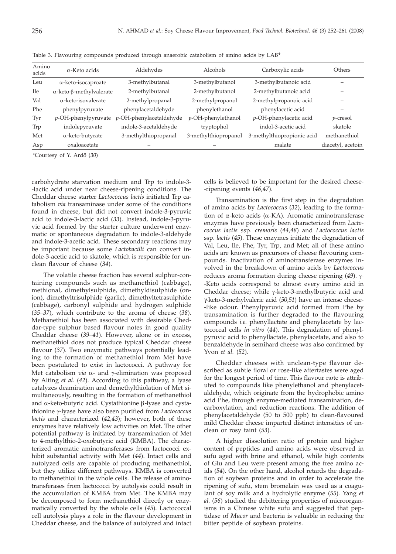| Amino<br>acids | $\alpha$ -Keto acids                    | Aldehydes               | Alcohols              | Carboxylic acids           | Others            |
|----------------|-----------------------------------------|-------------------------|-----------------------|----------------------------|-------------------|
| Leu            | $\alpha$ -keto-isocaproate              | 3-methylbutanal         | 3-methylbutanol       | 3-methylbutanoic acid      |                   |
| <b>Ile</b>     | $\alpha$ -keto- $\beta$ -methylvalerate | 2-methylbutanal         | 2-methylbutanol       | 2-methylbutanoic acid      |                   |
| Val            | $\alpha$ -keto-isovalerate              | 2-methylpropanal        | 2-methylpropanol      | 2-methylpropanoic acid     |                   |
| Phe            | phenylpyruvate                          | phenylacetaldehyde      | phenylethanol         | phenylacetic acid          |                   |
| Tyr            | $p$ -OH-phenylpyruvate                  | p-OH-phenylacetaldehyde | $p$ -OH-phenylethanol | p-OH-phenylacetic acid     | $p$ -cresol       |
| Trp            | indolepyruvate                          | indole-3-acetaldehyde   | tryptophol            | indol-3-acetic acid        | skatole           |
| Met            | $\alpha$ -keto-butyrate                 | 3-methylthiopropanal    | 3-methylthiopropanol  | 3-methylthiopropionic acid | methanethiol      |
| Asp            | oxaloacetate                            |                         |                       | malate                     | diacetyl, acetoin |

Table 3. Flavouring compounds produced through anaerobic catabolism of amino acids by LAB\*

\*Courtesy of Y. Ardö (*30*)

carbohydrate starvation medium and Trp to indole-3- -lactic acid under near cheese-ripening conditions. The Cheddar cheese starter *Lactococcus lactis* initiated Trp catabolism *via* transaminase under some of the conditions found in cheese, but did not convert indole-3-pyruvic acid to indole-3-lactic acid (*33*). Instead, indole-3-pyruvic acid formed by the starter culture underwent enzymatic or spontaneous degradation to indole-3-aldehyde and indole-3-acetic acid. These secondary reactions may be important because some *Lactobacilli* can convert indole-3-acetic acid to skatole, which is responsible for unclean flavour of cheese (*34*).

The volatile cheese fraction has several sulphur-containing compounds such as methanethiol (cabbage), methional, dimethylsulphide, dimethyldisulphide (onion), dimethyltrisulphide (garlic), dimethyltetrasulphide (cabbage), carbonyl sulphide and hydrogen sulphide (*35–37*), which contribute to the aroma of cheese (*38*). Methanethiol has been associated with desirable Cheddar-type sulphur based flavour notes in good quality Cheddar cheese (*39–41*). However, alone or in excess, methanethiol does not produce typical Cheddar cheese flavour (*37*). Two enzymatic pathways potentially leading to the formation of methanethiol from Met have been postulated to exist in lactococci. A pathway for Met catabolism  $via \alpha$ - and  $\gamma$ -elimination was proposed by Alting *et al.* (*42*). According to this pathway, a lyase catalyzes deamination and demethylthiolation of Met simultaneously, resulting in the formation of methanethiol and  $\alpha$ -keto-butyric acid. Cystathionine  $\beta$ -lyase and cystathionine g-lyase have also been purified from *Lactococcus lactis* and characterized (*42,43*); however, both of these enzymes have relatively low activities on Met. The other potential pathway is initiated by transamination of Met to 4-methylthio-2-oxobutyric acid (KMBA). The characterized aromatic aminotransferases from lactococci exhibit substantial activity with Met (*44*). Intact cells and autolyzed cells are capable of producing methanethiol, but they utilize different pathways. KMBA is converted to methanethiol in the whole cells. The release of aminotransferases from lactococci by autolysis could result in the accumulation of KMBA from Met. The KMBA may be decomposed to form methanethiol directly or enzymatically converted by the whole cells (*45*). Lactococcal cell autolysis plays a role in the flavour development in Cheddar cheese, and the balance of autolyzed and intact cells is believed to be important for the desired cheese- -ripening events (*46,47*).

Transamination is the first step in the degradation of amino acids by *Lactococcus* (*32*), leading to the formation of  $\alpha$ -keto acids ( $\alpha$ -KA). Aromatic aminotransferase enzymes have previously been characterized from *Lactococcus lactis* ssp. *cremoris* (*44,48*) and *Lactococcus lactis* ssp. *lactis* (*45*). These enzymes initiate the degradation of Val, Leu, Ile, Phe, Tyr, Trp, and Met; all of these amino acids are known as precursors of cheese flavouring compounds. Inactivation of aminotransferase enzymes involved in the breakdown of amino acids by *Lactococcus* reduces aroma formation during cheese ripening  $(49)$ .  $\rightarrow$ -Keto acids correspond to almost every amino acid in Cheddar cheese; while  $\gamma$ -keto-3-methylbutyric acid and γ-keto-3-methylvaleric acid (*50,51*) have an intense cheese- -like odour. Phenylpyruvic acid formed from Phe by transamination is further degraded to the flavouring compounds *i.e.* phenyllactate and phenylacetate by lactococcal cells *in vitro* (*44*). This degradation of phenylpyruvic acid to phenyllactate, phenylacetate, and also to benzaldehyde in semihard cheese was also confirmed by Yvon *et al.* (*52*).

Cheddar cheeses with unclean-type flavour described as subtle floral or rose-like aftertastes were aged for the longest period of time. This flavour note is attributed to compounds like phenylethanol and phenylacetaldehyde, which originate from the hydrophobic amino acid Phe, through enzyme-mediated transamination, decarboxylation, and reduction reactions. The addition of phenylacetaldehyde (50 to 500 ppb) to clean-flavoured mild Cheddar cheese imparted distinct intensities of unclean or rosy taint (*53*).

A higher dissolution ratio of protein and higher content of peptides and amino acids were observed in sufu aged with brine and ethanol, while high contents of Glu and Leu were present among the free amino acids (*54*). On the other hand, alcohol retards the degradation of soybean proteins and in order to accelerate the ripening of sufu, stem bromelain was used as a coagulant of soy milk and a hydrolytic enzyme (*55*). Yang *et al.* (*56*) studied the debittering properties of microorganisms in a Chinese white sufu and suggested that peptidase of *Mucor* and bacteria is valuable in reducing the bitter peptide of soybean proteins.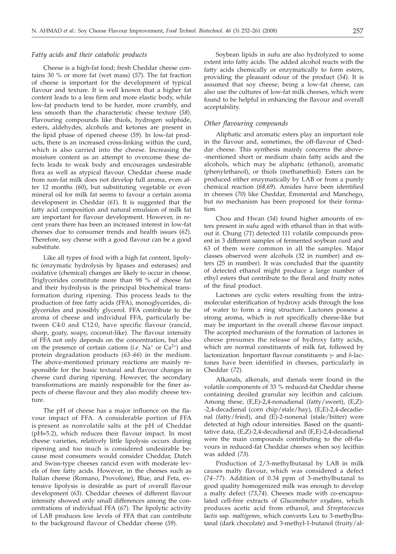#### *Fatty acids and their catabolic products*

Cheese is a high-fat food; fresh Cheddar cheese contains 30 % or more fat (wet mass) (*57*). The fat fraction of cheese is important for the development of typical flavour and texture. It is well known that a higher fat content leads to a less firm and more elastic body, while low-fat products tend to be harder, more crumbly, and less smooth than the characteristic cheese texture (*58*). Flavouring compounds like thiols, hydrogen sulphide, esters, aldehydes, alcohols and ketones are present in the lipid phase of ripened cheese (*59*). In low-fat products, there is an increased cross-linking within the curd, which is also carried into the cheese. Increasing the moisture content as an attempt to overcome these defects leads to weak body and encourages undesirable flora as well as atypical flavour. Cheddar cheese made from non-fat milk does not develop full aroma, even after 12 months (*60*), but substituting vegetable or even mineral oil for milk fat seems to favour a certain aroma development in Cheddar (*61*). It is suggested that the fatty acid composition and natural emulsion of milk fat are important for flavour development. However, in recent years there has been an increased interest in low-fat cheeses due to consumer trends and health issues (*62*). Therefore, soy cheese with a good flavour can be a good substitute.

Like all types of food with a high fat content, lipolytic (enzymatic hydrolysis by lipases and esterases) and oxidative (chemical) changes are likely to occur in cheese. Triglycerides constitute more than 98 % of cheese fat and their hydrolysis is the principal biochemical transformation during ripening. This process leads to the production of free fatty acids (FFA), monoglycerides, diglycerides and possibly glycerol. FFA contribute to the aroma of cheese and individual FFA, particularly between C4:0 and C12:0, have specific flavour (rancid, sharp, goaty, soapy, coconut-like). The flavour intensity of FFA not only depends on the concentration, but also on the presence of certain cations (*i.e.* Na<sup>+</sup> or Ca<sup>2+</sup>) and protein degradation products (*63–66*) in the medium. The above-mentioned primary reactions are mainly responsible for the basic textural and flavour changes in cheese curd during ripening. However, the secondary transformations are mainly responsible for the finer aspects of cheese flavour and they also modify cheese texture.

The pH of cheese has a major influence on the flavour impact of FFA. A considerable portion of FFA is present as nonvolatile salts at the pH of Cheddar  $(pH \approx 5.2)$ , which reduces their flavour impact. In most cheese varieties, relatively little lipolysis occurs during ripening and too much is considered undesirable because most consumers would consider Cheddar, Dutch and Swiss-type cheeses rancid even with moderate levels of free fatty acids. However, in the cheeses such as Italian cheese (Romano, Provolone), Blue, and Feta, extensive lipolysis is desirable as part of overall flavour development (*63*). Cheddar cheeses of different flavour intensity showed only small differences among the concentrations of individual FFA (*67*). The lipolytic activity of LAB produces low levels of FFA that can contribute to the background flavour of Cheddar cheese (*59*).

Soybean lipids in sufu are also hydrolyzed to some extent into fatty acids. The added alcohol reacts with the fatty acids chemically or enzymatically to form esters, providing the pleasant odour of the product (*54*). It is assumed that soy cheese, being a low-fat cheese, can also use the cultures of low-fat milk cheeses, which were found to be helpful in enhancing the flavour and overall acceptability.

## *Other flavouring compounds*

Aliphatic and aromatic esters play an important role in the flavour and, sometimes, the off-flavour of Cheddar cheese. This synthesis mainly concerns the above- -mentioned short or medium chain fatty acids and the alcohols, which may be aliphatic (ethanol), aromatic (phenylethanol), or thiols (methanethiol). Esters can be produced either enzymatically by LAB or from a purely chemical reaction (*68,69*). Amides have been identified in cheeses (*70*) like Cheddar, Emmental and Manchego, but no mechanism has been proposed for their formation.

Chou and Hwan (*54*) found higher amounts of esters present in sufu aged with ethanol than in that without it. Chung (*71*) detected 111 volatile compounds present in 3 different samples of fermented soybean curd and 63 of them were common in all the samples. Major classes observed were alcohols (32 in number) and esters (25 in number). It was concluded that the quantity of detected ethanol might produce a large number of ethyl esters that contribute to the floral and fruity notes of the final product.

Lactones are cyclic esters resulting from the intramolecular esterification of hydroxy acids through the loss of water to form a ring structure. Lactones possess a strong aroma, which is not specifically cheese-like but may be important in the overall cheese flavour impact. The accepted mechanism of the formation of lactones in cheese presumes the release of hydroxy fatty acids, which are normal constituents of milk fat, followed by lactonization. Important flavour constituents  $\gamma$ - and  $\delta$ -lactones have been identified in cheeses, particularly in Cheddar (*72*).

Alkanals, alkenals, and dienals were found in the volatile components of 33 % reduced-fat Cheddar cheese containing deoiled granular soy lecithin and calcium. Among these, (E,E)-2,4-nonadienal (fatty/sweet), (E,Z)- -2,4-decadienal (corn chip/stale/hay), (E,E)-2,4-decadienal (fatty/fried), and (E)-2-nonenal (stale/bitter) were detected at high odour intensities. Based on the quantitative data, (E,Z)-2,4-decadienal and (E,E)-2,4-decadienal were the main compounds contributing to the off-flavours in reduced-fat Cheddar cheeses when soy lecithin was added (*73*).

Production of 2/3-methylbutanal by LAB in milk causes malty flavour, which was considered a defect (*74–77*). Addition of 0.34 ppm of 3-methylbutanal to good quality homogenized milk was enough to develop a malty defect (*73,74*). Cheeses made with co-encapsulated cell-free extracts of *Gluconobacter oxydans*, which produces acetic acid from ethanol, and *Streptococcus lactis* ssp. *maltigenes*, which converts Leu to 3-methylbutanal (dark chocolate) and 3-methyl-1-butanol (fruity/al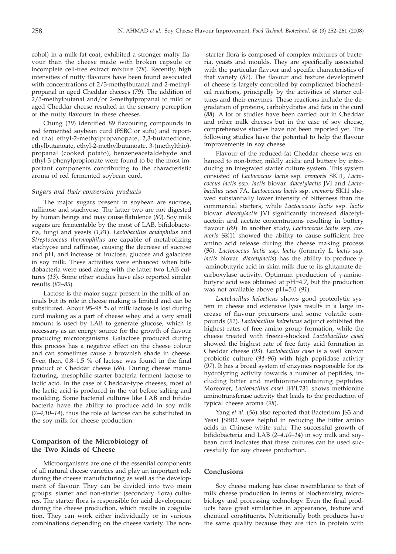cohol) in a milk-fat coat, exhibited a stronger malty flavour than the cheese made with broken capsule or incomplete cell-free extract mixture (*78*). Recently, high intensities of nutty flavours have been found associated with concentrations of 2/3-methylbutanal and 2-methylpropanal in aged Cheddar cheeses (*79*). The addition of 2/3-methylbutanal and/or 2-methylpropanal to mild or aged Cheddar cheese resulted in the sensory perception of the nutty flavours in these cheeses.

Chung (*19*) identified 89 flavouring compounds in red fermented soybean curd (FSBC or sufu) and reported that ethyl-2-methylpropanopate, 2,3-butanedione, ethylbutanoate, ethyl-2-methylbutanoate, 3-(methylthio) propanal (cooked potato), benzeneacetaldehyde and ethyl-3-phenylpropionate were found to be the most important components contributing to the characteristic aroma of red fermented soybean curd.

### *Sugars and their conversion products*

The major sugars present in soybean are sucrose, raffinose and stachyose. The latter two are not digested by human beings and may cause flatulence (*80*). Soy milk sugars are fermentable by the most of LAB, bifidobacteria, fungi and yeasts (*1,81*). *Lactobacillus acidophilus* and *Streptococcus thermophilus* are capable of metabolizing stachyose and raffinose, causing the decrease of sucrose and pH, and increase of fructose, glucose and galactose in soy milk. These activities were enhanced when bifidobacteria were used along with the latter two LAB cultures (*13*). Some other studies have also reported similar results (*82–85*).

Lactose is the major sugar present in the milk of animals but its role in cheese making is limited and can be substituted. About 95–98 % of milk lactose is lost during curd making as a part of cheese whey and a very small amount is used by LAB to generate glucose, which is necessary as an energy source for the growth of flavour producing microorganisms. Galactose produced during this process has a negative effect on the cheese colour and can sometimes cause a brownish shade in cheese. Even then, 0.8–1.5 % of lactose was found in the final product of Cheddar cheese (*86*). During cheese manufacturing, mesophilic starter bacteria ferment lactose to lactic acid. In the case of Cheddar-type cheeses, most of the lactic acid is produced in the vat before salting and moulding. Some bacterial cultures like LAB and bifidobacteria have the ability to produce acid in soy milk (*2–4,10–14*), thus the role of lactose can be substituted in the soy milk for cheese production.

## **Comparison of the Microbiology of the Two Kinds of Cheese**

Microorganisms are one of the essential components of all natural cheese varieties and play an important role during the cheese manufacturing as well as the development of flavour. They can be divided into two main groups: starter and non-starter (secondary flora) cultures. The starter flora is responsible for acid development during the cheese production, which results in coagulation. They can work either individually or in various combinations depending on the cheese variety. The non-starter flora is composed of complex mixtures of bacteria, yeasts and moulds. They are specifically associated with the particular flavour and specific characteristics of that variety (*87*). The flavour and texture development of cheese is largely controlled by complicated biochemical reactions, principally by the activities of starter cultures and their enzymes. These reactions include the degradation of proteins, carbohydrates and fats in the curd (*88*). A lot of studies have been carried out in Cheddar and other milk cheeses but in the case of soy cheese, comprehensive studies have not been reported yet. The following studies have the potential to help the flavour improvements in soy cheese.

Flavour of the reduced-fat Cheddar cheese was enhanced to non-bitter, mildly acidic and buttery by introducing an integrated starter culture system. This system consisted of *Lactococcus lactis* ssp. *cremoris* SK11*, Lactococcus lactis* ssp. *lactis* biovar. *diacetylactis* JVI and *Lactobacillus casei* 7A. *Lactococcus lactis* ssp. *cremoris* SK11 showed substantially lower intensity of bitterness than the commercial starters, while *Lactococcus lactis* ssp. *lactis* biovar. *diacetylactis* JVI significantly increased diacetylacetoin and acetate concentrations resulting in buttery flavour (*89*). In another study, *Lactococcus lactis* ssp. *cremoris* SK11 showed the ability to cause sufficient free amino acid release during the cheese making process (*90*). *Lactococcus lactis* ssp. *lactis* (formerly *L. lactis* ssp. *lactis* biovar. *diacetylactis*) has the ability to produce  $\gamma$ -aminobutyric acid in skim milk due to its glutamate decarboxylase activity. Optimum production of  $\gamma$ -aminobutyric acid was obtained at pH=4.7, but the production was not available above pH=5.0 (*91*).

*Lactobacillus helveticus* shows good proteolytic system in cheese and extensive lysis results in a large increase of flavour precursors and some volatile compounds (*92*). *Lactobacillus helveticus* adjunct exhibited the highest rates of free amino group formation, while the cheese treated with freeze-shocked *Lactobacillus casei* showed the highest rate of free fatty acid formation in Cheddar cheese (*93*). *Lactobacillus casei* is a well known probiotic culture (*94*–*96*) with high peptidase activity (*97*). It has a broad system of enzymes responsible for its hydrolyzing activity towards a number of peptides, including bitter and methionine-containing peptides. Moreover, *Lactobacillus casei* IFPL731 shows methionine aminotransferase activity that leads to the production of typical cheese aroma (*98*).

Yang et al. (56) also reported that Bacterium JS3 and Yeast JSBB2 were helpful in reducing the bitter amino acids in Chinese white sufu. The successful growth of bifidobacteria and LAB (*2–4,10–14*) in soy milk and soybean curd indicates that these cultures can be used successfully for soy cheese production.

#### **Conclusions**

Soy cheese making has close resemblance to that of milk cheese production in terms of biochemistry, microbiology and processing technology. Even the final products have great similarities in appearance, texture and chemical constituents. Nutritionally both products have the same quality because they are rich in protein with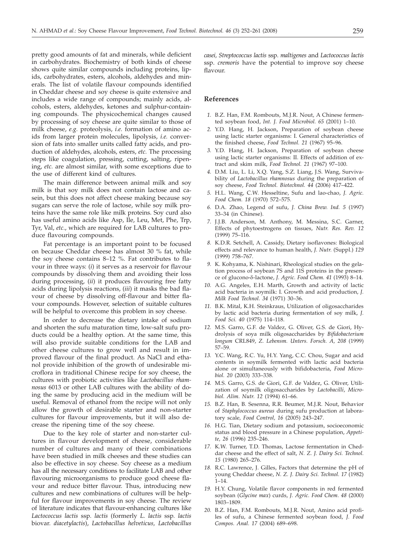pretty good amounts of fat and minerals, while deficient in carbohydrates. Biochemistry of both kinds of cheese shows quite similar compounds including proteins, lipids, carbohydrates, esters, alcohols, aldehydes and minerals. The list of volatile flavour compounds identified in Cheddar cheese and soy cheese is quite extensive and includes a wide range of compounds; mainly acids, alcohols, esters, aldehydes, ketones and sulphur-containing compounds. The physicochemical changes caused by processing of soy cheese are quite similar to those of milk cheese, *e.g.* proteolysis, *i.e.* formation of amino acids from larger protein molecules, lipolysis, *i.e.* conversion of fats into smaller units called fatty acids, and production of aldehydes, alcohols, esters, *etc.* The processing steps like coagulation, pressing, cutting, salting, ripening, *etc.* are almost similar, with some exceptions due to the use of different kind of cultures.

The main difference between animal milk and soy milk is that soy milk does not contain lactose and casein, but this does not affect cheese making because soy sugars can serve the role of lactose, while soy milk proteins have the same role like milk proteins. Soy curd also has useful amino acids like Asp, Ile, Leu, Met, Phe, Trp, Tyr, Val, *etc*., which are required for LAB cultures to produce flavouring compounds.

Fat percentage is an important point to be focused on because Cheddar cheese has almost 30 % fat, while the soy cheese contains 8–12 %. Fat contributes to flavour in three ways: (*i*) it serves as a reservoir for flavour compounds by dissolving them and avoiding their loss during processing, (*ii*) it produces flavouring free fatty acids during lipolysis reactions, (*iii*) it masks the bad flavour of cheese by dissolving off-flavour and bitter flavour compounds. However, selection of suitable cultures will be helpful to overcome this problem in soy cheese.

In order to decrease the dietary intake of sodium and shorten the sufu maturation time, low-salt sufu products could be a healthy option. At the same time, this will also provide suitable conditions for the LAB and other cheese cultures to grow well and result in improved flavour of the final product. As NaCl and ethanol provide inhibition of the growth of undesirable microflora in traditional Chinese recipe for soy cheese, the cultures with probiotic activities like *Lactobacillus rhamnosus* 6013 or other LAB cultures with the ability of doing the same by producing acid in the medium will be useful. Removal of ethanol from the recipe will not only allow the growth of desirable starter and non-starter cultures for flavour improvements, but it will also decrease the ripening time of the soy cheese.

Due to the key role of starter and non-starter cultures in flavour development of cheese, considerable number of cultures and many of their combinations have been studied in milk cheeses and these studies can also be effective in soy cheese. Soy cheese as a medium has all the necessary conditions to facilitate LAB and other flavouring microorganisms to produce good cheese flavour and reduce bitter flavour. Thus, introducing new cultures and new combinations of cultures will be helpful for flavour improvements in soy cheese. The review of literature indicates that flavour-enhancing cultures like *Lactococcus lactis* ssp*. lactis* (formerly *L. lactis* ssp*. lactis* biovar. *diacetylactis*), *Lactobacillus helveticus, Lactobacillus*

*casei, Streptococcus lactis* ssp. *maltigenes* and *Lactococcus lactis* ssp. *cremoris* have the potential to improve soy cheese flavour.

#### **References**

- *1.* B.Z. Han, F.M. Rombouts, M.J.R. Nout, A Chinese fermented soybean food, *Int. J. Food Microbiol. 65* (2001) 1–10.
- *2.* Y.D. Hang, H. Jackson, Preparation of soybean cheese using lactic starter organisms: I. General characteristics of the finished cheese, *Food Technol. 21* (1967) 95–96.
- *3.* Y.D. Hang, H. Jackson, Preparation of soybean cheese using lactic starter organisms: II. Effects of addition of extract and skim milk, *Food Technol. 21* (1967) 97–100.
- *4.* D.M. Liu, L. Li, X.Q. Yang, S.Z. Liang, J.S. Wang, Survivability of *Lactobacillus rhamnosus* during the preparation of soy cheese, *Food Technol. Biotechnol. 44* (2006) 417–422.
- *5.* H.L. Wang, C.W. Hesseltine, Sufu and lao-chao, *J. Agric. Food Chem. 18* (1970) 572–575.
- *6.* D.A. Zhao, Legend of sufu, *J. China Brew. Ind. 5* (1997) 33–34 (in Chinese).
- *7.* J.J.B. Anderson, M. Anthony, M. Messina, S.C. Garner, Effects of phytoestrogens on tissues, *Nutr. Res. Rev. 12* (1999) 75–116.
- *8.* K.D.R. Setchell, A. Cassidy, Dietary isoflavones: Biological effects and relevance to human health, *J. Nutr.* (Suppl.) *129* (1999) 758–767.
- *9.* K. Kohyama, K. Nishinari, Rheological studies on the gelation process of soybean 7S and 11S proteins in the presence of glucono-d-lactone, *J. Agric. Food Chem. 41* (1993) 8–14.
- *10.* A.G. Angeles, E.H. Marth, Growth and activity of lactic acid bacteria in soymilk: I. Growth and acid production, *J. Milk Food Technol. 34* (1971) 30–36.
- *11.* B.K. Mital, K.H. Steinkraus, Utilization of oligosaccharides by lactic acid bacteria during fermentation of soy milk, *J. Food Sci. 40* (1975) 114–118.
- *12.* M.S. Garro, G.F. de Valdez, G. Oliver, G.S. de Giori, Hydrolysis of soya milk oligosaccharides by *Bifidobacterium longum* CRL849, *Z. Lebensm. Unters. Forsch. A, 208* (1999) 57–59.
- *13.* Y.C. Wang, R.C. Yu, H.Y. Yang, C.C. Chou, Sugar and acid contents in soymilk fermented with lactic acid bacteria alone or simultaneously with bifidobacteria, *Food Microbiol. 20* (2003) 333–338.
- *14.* M.S. Garro, G.S. de Giori, G.F. de Valdez, G. Oliver, Utilization of soymilk oligosaccharides by *Lactobacilli*, *Microbiol. Alim. Nutr. 12* (1994) 61–66.
- *15.* B.Z. Han, B. Sesenna, R.R. Beumer, M.J.R. Nout, Behavior of *Staphylococcus aureus* during sufu production at laboratory scale*, Food Control, 16* (2005) 243–247.
- *16.* H.G. Tian, Dietary sodium and potassium, socioeconomic status and blood pressure in a Chinese population, *Appetite, 26* (1996) 235–246.
- *17.* K.W. Turner, T.D. Thomas, Lactose fermentation in Cheddar cheese and the effect of salt, *N. Z. J. Dairy Sci. Technol. 15* (1980) 265–276.
- *18.* R.C. Lawrence, J. Gilles, Factors that determine the pH of young Cheddar cheese, *N. Z. J. Dairy Sci. Technol. 17* (1982)  $1 - 14$ .
- *19.* H.Y. Chung, Volatile flavor components in red fermented soybean (*Glycine max*) curds, *J. Agric. Food Chem. 48* (2000) 1803–1809.
- *20.* B.Z. Han, F.M. Rombouts, M.J.R. Nout, Amino acid profiles of sufu, a Chinese fermented soybean food, *J. Food Compos. Anal. 17* (2004) 689–698.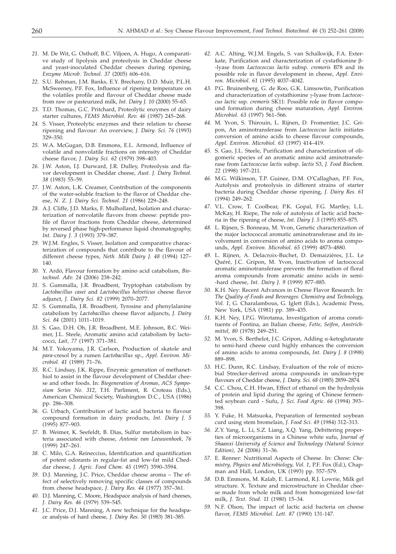- *21.* M. De Wit, G. Osthoff, B.C. Viljoen, A. Hugo, A comparative study of lipolysis and proteolysis in Cheddar cheese and yeast-inoculated Cheddar cheeses during ripening, *Enzyme Microb. Technol. 37* (2005) 606–616.
- *22.* S.U. Rehman, J.M. Banks, E.Y. Brechany, D.D. Muir, P.L.H. McSweeney, P.F. Fox, Influence of ripening temperature on the volatiles profile and flavour of Cheddar cheese made from raw or pasteurized milk, *Int. Dairy J. 10* (2000) 55–65.
- *23.* T.D. Thomas, G.C. Pritchard, Proteolytic enzymes of dairy starter cultures, *FEMS Microbiol. Rev. 46* (1987) 245–268.
- *24.* S. Visser, Proteolytic enzymes and their relation to cheese ripening and flavour: An overview, *J. Dairy. Sci. 76* (1993) 329–350.
- *25.* W.A. McGugan, D.B. Emmons, E.L. Armond, Influence of volatile and nonvolatile fractions on intensity of Cheddar cheese flavor, *J. Dairy Sci. 62* (1979) 398–403.
- *26.* J.W. Aston, I.J. Durward, J.R. Dulley, Proteolysis and flavor development in Cheddar cheese, *Aust. J. Dairy Technol. 38* (1983) 55–59.
- *27.* J.W. Aston, L.K. Creamer, Contribution of the components of the water-soluble fraction to the flavor of Cheddar cheese, *N. Z. J. Dairy Sci. Technol. 21* (1986) 229–248.
- *28.* A.J. Cliffe, J.D. Marks, F. Mulholland, Isolation and characterization of nonvolatile flavors from cheese: peptide profile of flavor fractions from Cheddar cheese, determined by reversed phase high-performance liquid chromatography, *Int. Dairy J. 3* (1993) 379–387.
- *29.* W.J.M. Engles, S. Visser, Isolation and comparative characterization of compounds that contribute to the flavour of different cheese types, *Neth. Milk Dairy J. 48* (1994) 127– 140.
- *30.* Y. Ardö, Flavour formation by amino acid catabolism, *Biotechnol. Adv. 24* (2006) 238–242.
- *31.* S. Gummalla, J.R. Broadbent, Tryptophan catabolism by *Lactobacillus casei* and *Lactobacillus helveticus* cheese flavor adjunct, *J. Dairy Sci. 82* (1999) 2070–2077.
- *32.* S. Gummalla, J.R. Broadbent, Tyrosine and phenylalanine catabolism by *Lactobacillus* cheese flavor adjuncts, *J. Dairy Sci. 84* (2001) 1011–1019.
- *33.* S. Gao, D.H. Oh, J.R. Broadbent, M.E. Johnson, B.C. Weimer, J.L. Steele, Aromatic amino acid catabolism by lactococci, *Lait, 77* (1997) 371–381.
- *34.* M.T. Yokoyama, J.R. Carlson, Production of skatole and *para*-cresol by a rumen *Lactobacillus* sp., *Appl. Environ. Microbiol. 41* (1989) 71–76.
- *35.* R.C. Lindsay, J.K. Rippe, Enzymic generation of methanethiol to assist in the flavour development of Cheddar cheese and other foods. In: *Biogeneration of Aromas*, *ACS Symposium Series No. 312*, T.H. Parliment, R. Croteau (Eds.), American Chemical Society, Washington D.C., USA (1986) pp. 286–308.
- *36.* G. Urbach, Contribution of lactic acid bacteria to flavour compound formation in dairy products, *Int. Dairy J. 5* (1995) 877–903.
- *37.* B. Weimer, K. Seefeldt, B. Dias, Sulfur metabolism in bacteria associated with cheese, *Antonie van Leeuwenhoek, 76* (1999) 247–261.
- *38.* C. Milo, G.A. Reineccius, Identification and quantification of potent odorants in regular-fat and low-fat mild Cheddar cheese, *J. Agric. Food Chem. 45* (1997) 3590–3594.
- *39.* D.J. Manning, J.C. Price, Cheddar cheese aroma The effect of selectively removing specific classes of compounds from cheese headspace, *J. Dairy Res. 44* (1977) 357–361.
- *40.* D.J. Manning, C. Moore, Headspace analysis of hard cheeses, *J. Dairy Res. 46* (1979) 539–545.
- *41.* J.C. Price, D.J. Manning, A new technique for the headspace analysis of hard cheese, *J. Dairy Res. 50* (1983) 381–385.
- *42.* A.C. Alting, W.J.M. Engels, S. van Schalkwijk, F.A. Exterkate, Purification and characterization of cystathionine  $\beta$ --lyase from *Lactococcus lactis* subsp*. cremoris* B78 and its possible role in flavor development in cheese, *Appl. Environ. Microbiol. 61* (1995) 4037–4042.
- *43.* P.G. Bruinenberg, G. de Roo, G.K. Limsowtin, Purification and characterization of cystathionine  $\gamma$ -lyase from *Lactococcus lactic* ssp. *cremoris* SK11: Possible role in flavor compound formation during cheese maturation, *Appl. Environ. Microbiol. 63* (1997) 561–566.
- *44.* M. Yvon, S. Thirouin, L. Rijnen, D. Fromentier, J.C. Gripon, An aminotransferase from *Lactococcus lactis* initiates conversion of amino acids to cheese flavour compounds, *Appl. Environ. Microbiol. 63* (1997) 414–419.
- *45.* S. Gao, J.L. Steele, Purification and characterization of oligomeric species of an aromatic amino acid aminotransferase from *Lactococcus lactis* subsp. *lactis* S3, *J. Food Biochem. 22* (1998) 197–211.
- *46.* M.G. Wilkinson, T.P. Guinee, D.M. O'Callaghan, P.F. Fox, Autolysis and proteolysis in different strains of starter bacteria during Cheddar cheese ripening, *J. Dairy Res. 61* (1994) 249–262.
- *47.* V.L. Crow, T. Coolbear, P.K. Gopal, F.G. Martley, L.L. McKay, H. Riepe, The role of autolysis of lactic acid bacteria in the ripening of cheese, *Int. Dairy J. 5* (1995) 855–875.
- *48.* L. Rijnen, S. Bonneau, M. Yvon, Genetic characterization of the major lactococcal aromatic aminotransferase and its involvement in conversion of amino acids to aroma compounds, *Appl. Environ. Microbiol. 65* (1999) 4873–4880.
- *49.* L. Rijnen, A. Delacroix-Buchet, D. Demaizières, J.L. Le Quéré, J.C. Gripon, M. Yvon, Inactivation of lactococcal aromatic aminotransferase prevents the formation of floral aroma compounds from aromatic amino acids in semi- -hard cheese, *Int. Dairy J. 9* (1999) 877–885.
- *50.* K.H. Ney: Recent Advances in Cheese Flavor Research. In: *The Quality of Foods and Beverages: Chemistry and Technology, Vol. 1*, G. Charalambous, G. Iglett (Eds.), Academic Press, New York, USA (1981) pp. 389–435.
- *51.* K.H. Ney, I.P.G. Wirotama, Investigation of aroma constituents of Fontina, an Italian cheese, *Fette, Seifen, Anstrichmittel, 80* (1978) 249–251.
- *52.* M. Yvon, S. Berthelot, J.C. Gripon, Adding a-ketoglutarate to semi-hard cheese curd highly enhances the conversion of amino acids to aroma compounds, *Int. Dairy J. 8* (1998) 889–898.
- *53.* H.C. Dunn, R.C. Lindsay, Evaluation of the role of microbial Strecker-derived aroma compounds in unclean-type flavours of Cheddar cheese, *J. Dairy. Sci. 68* (1985) 2859–2874.
- *54.* C.C. Chou, C.H. Hwan, Effect of ethanol on the hydrolysis of protein and lipid during the ageing of Chinese fermented soybean curd - Sufu, *J. Sci. Food Agric. 66* (1994) 393– 398.
- *55.* Y. Fuke, H. Matsuoka, Preparation of fermented soybean curd using stem bromelain, *J. Food Sci. 49* (1984) 312–313.
- *56.* Z.Y. Yang, L. Li, S.Z. Liang, X.Q. Yang, Debittering properties of microorganisms in a Chinese white sufu, *Journal of Shaanxi University of Science and Technology (Natural Science Edition), 24* (2006) 31–36.
- *57.* E. Renner: Nutritional Aspects of Cheese. In: *Cheese: Chemistry, Physics and Microbiology, Vol. 1*, P.F. Fox (Ed.), Chapman and Hall, London, UK (1993) pp. 557–579.
- *58.* D.B. Emmons, M. Kalab, E. Larmond, R.J. Lowrie, Milk gel structure. X. Texture and microstructure in Cheddar cheese made from whole milk and from homogenized low-fat milk, *J. Text. Stud. 11* (1980) 15–34.
- *59.* N.F. Olson, The impact of lactic acid bacteria on cheese flavor, *FEMS Microbiol. Lett. 87* (1990) 131-147.